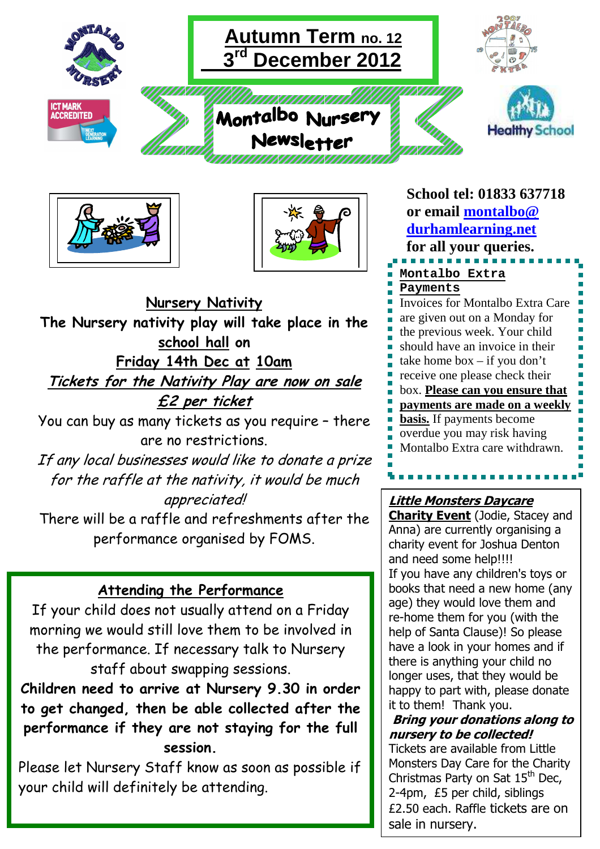





. **Friday 14th Dec at 10am Nursery Nativity The Nursery nativity play will take place in the school hall on Tickets for the Nativity Play are now on sale £2 per ticket** 

You can buy as many tickets as you require – there are no restrictions.

If any local businesses would like to donate a prize for the raffle at the nativity, it would be much appreciated!

There will be a raffle and refreshments after the performance organised by FOMS.

# **Attending the Performance**

If your child does not usually attend on a Friday morning we would still love them to be involved in the performance. If necessary talk to Nursery staff about swapping sessions.

**Children need to arrive at Nursery 9.30 in order to get changed, then be able collected after the performance if they are not staying for the full session.** 

Please let Nursery Staff know as soon as possible if your child will definitely be attending.

**School tel: 01833 637718 or email montalbo@ durhamlearning.net for all your queries. Montalbo Extra Payments** Invoices for Montalbo Extra Care are given out on a Monday for the previous week. Your child should have an invoice in their take home box – if you don't receive one please check their box. **Please can you ensure that payments are made on a weekly basis.** If payments become overdue you may risk having Montalbo Extra care withdrawn.

## **Little Monsters Daycare**

**Charity Event** (Jodie, Stacey and Anna) are currently organising a charity event for Joshua Denton and need some help!!!! If you have any children's toys or books that need a new home (any age) they would love them and re-home them for you (with the help of Santa Clause)! So please have a look in your homes and if there is anything your child no longer uses, that they would be happy to part with, please donate it to them! Thank you.

**Bring your donations along to nursery to be collected!** 

Tickets are available from Little Monsters Day Care for the Charity Christmas Party on Sat 15<sup>th</sup> Dec, 2-4pm, £5 per child, siblings £2.50 each. Raffle tickets are on sale in nursery.